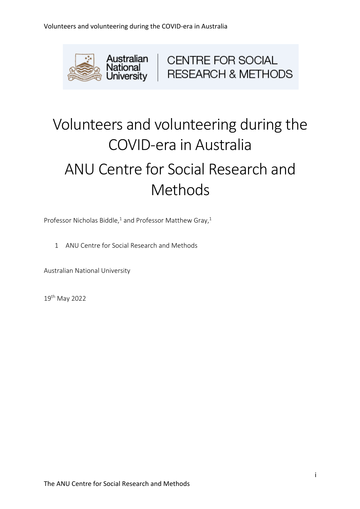

# Volunteers and volunteering during the COVID-era in Australia ANU Centre for Social Research and Methods

Professor Nicholas Biddle,<sup>1</sup> and Professor Matthew Gray,<sup>1</sup>

1 ANU Centre for Social Research and Methods

Australian National University

19th May 2022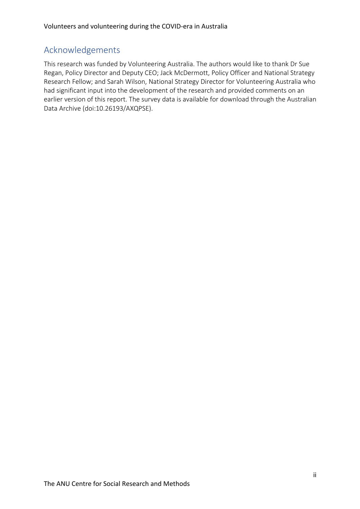# Acknowledgements

This research was funded by Volunteering Australia. The authors would like to thank Dr Sue Regan, Policy Director and Deputy CEO; Jack McDermott, Policy Officer and National Strategy Research Fellow; and Sarah Wilson, National Strategy Director for Volunteering Australia who had significant input into the development of the research and provided comments on an earlier version of this report. The survey data is available for download through the Australian Data Archive (doi:10.26193/AXQPSE).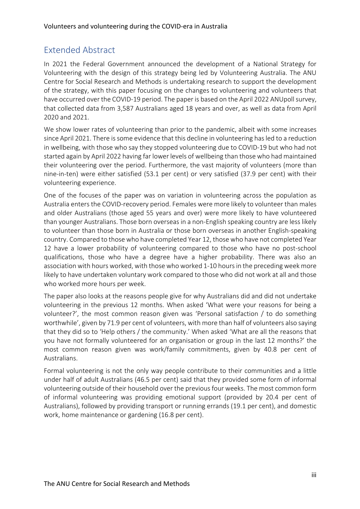# Extended Abstract

In 2021 the Federal Government announced the development of a National Strategy for Volunteering with the design of this strategy being led by Volunteering Australia. The ANU Centre for Social Research and Methods is undertaking research to support the development of the strategy, with this paper focusing on the changes to volunteering and volunteers that have occurred over the COVID-19 period. The paper is based on the April 2022 ANUpoll survey, that collected data from 3,587 Australians aged 18 years and over, as well as data from April 2020 and 2021.

We show lower rates of volunteering than prior to the pandemic, albeit with some increases since April 2021. There is some evidence that this decline in volunteering has led to a reduction in wellbeing, with those who say they stopped volunteering due to COVID-19 but who had not started again by April 2022 having far lower levels of wellbeing than those who had maintained their volunteering over the period. Furthermore, the vast majority of volunteers (more than nine-in-ten) were either satisfied (53.1 per cent) or very satisfied (37.9 per cent) with their volunteering experience.

One of the focuses of the paper was on variation in volunteering across the population as Australia enters the COVID-recovery period. Females were more likely to volunteer than males and older Australians (those aged 55 years and over) were more likely to have volunteered than younger Australians. Those born overseas in a non-English speaking country are less likely to volunteer than those born in Australia or those born overseas in another English-speaking country. Compared to those who have completed Year 12, those who have not completed Year 12 have a lower probability of volunteering compared to those who have no post-school qualifications, those who have a degree have a higher probability. There was also an association with hours worked, with those who worked 1-10 hours in the preceding week more likely to have undertaken voluntary work compared to those who did not work at all and those who worked more hours per week.

The paper also looks at the reasons people give for why Australians did and did not undertake volunteering in the previous 12 months. When asked 'What were your reasons for being a volunteer?', the most common reason given was 'Personal satisfaction / to do something worthwhile', given by 71.9 per cent of volunteers, with more than half of volunteers also saying that they did so to 'Help others / the community.' When asked 'What are all the reasons that you have not formally volunteered for an organisation or group in the last 12 months?' the most common reason given was work/family commitments, given by 40.8 per cent of Australians.

Formal volunteering is not the only way people contribute to their communities and a little under half of adult Australians (46.5 per cent) said that they provided some form of informal volunteering outside of their household over the previous four weeks. The most common form of informal volunteering was providing emotional support (provided by 20.4 per cent of Australians), followed by providing transport or running errands (19.1 per cent), and domestic work, home maintenance or gardening (16.8 per cent).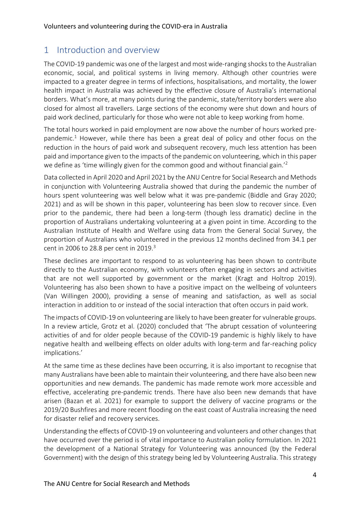# 1 Introduction and overview

The COVID-19 pandemic was one of the largest and most wide-ranging shocks to the Australian economic, social, and political systems in living memory. Although other countries were impacted to a greater degree in terms of infections, hospitalisations, and mortality, the lower health impact in Australia was achieved by the effective closure of Australia's international borders. What's more, at many points during the pandemic, state/territory borders were also closed for almost all travellers. Large sections of the economy were shut down and hours of paid work declined, particularly for those who were not able to keep working from home.

The total hours worked in paid employment are now above the number of hours worked prepandemic.<sup>1</sup> However, while there has been a great deal of policy and other focus on the reduction in the hours of paid work and subsequent recovery, much less attention has been paid and importance given to the impacts of the pandemic on volunteering, which in this paper we define as 'time willingly given for the common good and without financial gain.<sup>'2</sup>

Data collected in April 2020 and April 2021 by the ANU Centre for Social Research and Methods in conjunction with Volunteering Australia showed that during the pandemic the number of hours spent volunteering was well below what it was pre-pandemic (Biddle and Gray 2020; 2021) and as will be shown in this paper, volunteering has been slow to recover since. Even prior to the pandemic, there had been a long-term (though less dramatic) decline in the proportion of Australians undertaking volunteering at a given point in time. According to the Australian Institute of Health and Welfare using data from the General Social Survey, the proportion of Australians who volunteered in the previous 12 months declined from 34.1 per cent in 2006 to 28.8 per cent in 2019.<sup>3</sup>

These declines are important to respond to as volunteering has been shown to contribute directly to the Australian economy, with volunteers often engaging in sectors and activities that are not well supported by government or the market (Kragt and Holtrop 2019). Volunteering has also been shown to have a positive impact on the wellbeing of volunteers (Van Willingen 2000), providing a sense of meaning and satisfaction, as well as social interaction in addition to or instead of the social interaction that often occurs in paid work.

The impacts of COVID-19 on volunteering are likely to have been greater for vulnerable groups. In a review article, Grotz et al. (2020) concluded that 'The abrupt cessation of volunteering activities of and for older people because of the COVID-19 pandemic is highly likely to have negative health and wellbeing effects on older adults with long-term and far-reaching policy implications.'

At the same time as these declines have been occurring, it is also important to recognise that many Australians have been able to maintain their volunteering, and there have also been new opportunities and new demands. The pandemic has made remote work more accessible and effective, accelerating pre-pandemic trends. There have also been new demands that have arisen (Bazan et al. 2021) for example to support the delivery of vaccine programs or the 2019/20 Bushfires and more recent flooding on the east coast of Australia increasing the need for disaster relief and recovery services.

Understanding the effects of COVID-19 on volunteering and volunteers and other changes that have occurred over the period is of vital importance to Australian policy formulation. In 2021 the development of a National Strategy for Volunteering was announced (by the Federal Government) with the design of this strategy being led by Volunteering Australia. This strategy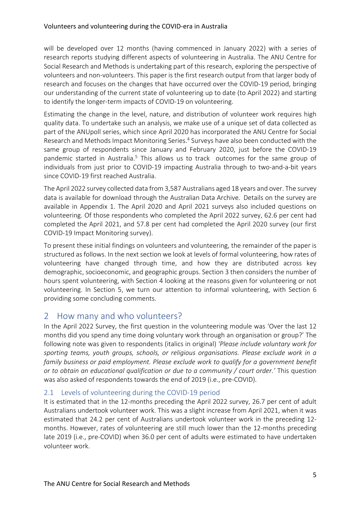will be developed over 12 months (having commenced in January 2022) with a series of research reports studying different aspects of volunteering in Australia. The ANU Centre for Social Research and Methods is undertaking part of this research, exploring the perspective of volunteers and non-volunteers. This paper is the first research output from that larger body of research and focuses on the changes that have occurred over the COVID-19 period, bringing our understanding of the current state of volunteering up to date (to April 2022) and starting to identify the longer-term impacts of COVID-19 on volunteering.

Estimating the change in the level, nature, and distribution of volunteer work requires high quality data. To undertake such an analysis, we make use of a unique set of data collected as part of the ANUpoll series, which since April 2020 has incorporated the ANU Centre for Social Research and Methods Impact Monitoring Series.<sup>4</sup> Surveys have also been conducted with the same group of respondents since January and February 2020, just before the COVID-19 pandemic started in Australia.<sup>5</sup> This allows us to track outcomes for the same group of individuals from just prior to COVID-19 impacting Australia through to two-and-a-bit years since COVID-19 first reached Australia.

The April 2022 survey collected data from 3,587 Australians aged 18 years and over. The survey data is available for download through the Australian Data Archive. Details on the survey are available in Appendix 1. The April 2020 and April 2021 surveys also included questions on volunteering. Of those respondents who completed the April 2022 survey, 62.6 per cent had completed the April 2021, and 57.8 per cent had completed the April 2020 survey (our first COVID-19 Impact Monitoring survey).

To present these initial findings on volunteers and volunteering, the remainder of the paper is structured as follows. In the next section we look at levels of formal volunteering, how rates of volunteering have changed through time, and how they are distributed across key demographic, socioeconomic, and geographic groups. Section 3 then considers the number of hours spent volunteering, with Section 4 looking at the reasons given for volunteering or not volunteering. In Section 5, we turn our attention to informal volunteering, with Section 6 providing some concluding comments.

# 2 How many and who volunteers?

In the April 2022 Survey, the first question in the volunteering module was 'Over the last 12 months did you spend any time doing voluntary work through an organisation or group?' The following note was given to respondents (italics in original) *'Please include voluntary work for sporting teams, youth groups, schools, or religious organisations. Please exclude work in a family business or paid employment. Please exclude work to qualify for a government benefit or to obtain an educational qualification or due to a community / court order.'* This question was also asked of respondents towards the end of 2019 (i.e., pre-COVID).

#### 2.1 Levels of volunteering during the COVID-19 period

It is estimated that in the 12-months preceding the April 2022 survey, 26.7 per cent of adult Australians undertook volunteer work. This was a slight increase from April 2021, when it was estimated that 24.2 per cent of Australians undertook volunteer work in the preceding 12 months. However, rates of volunteering are still much lower than the 12-months preceding late 2019 (i.e., pre-COVID) when 36.0 per cent of adults were estimated to have undertaken volunteer work.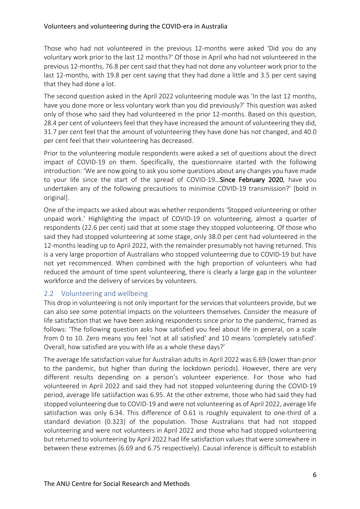Those who had not volunteered in the previous 12-months were asked 'Did you do any voluntary work prior to the last 12 months?' Of those in April who had not volunteered in the previous 12-months, 76.8 per cent said that they had not done any volunteer work prior to the last 12-months, with 19.8 per cent saying that they had done a little and 3.5 per cent saying that they had done a lot.

The second question asked in the April 2022 volunteering module was 'In the last 12 months, have you done more or less voluntary work than you did previously?' This question was asked only of those who said they had volunteered in the prior 12-months. Based on this question, 28.4 per cent of volunteers feel that they have increased the amount of volunteering they did, 31.7 per cent feel that the amount of volunteering they have done has not changed, and 40.0 per cent feel that their volunteering has decreased.

Prior to the volunteering module respondents were asked a set of questions about the direct impact of COVID-19 on them. Specifically, the questionnaire started with the following introduction: 'We are now going to ask you some questions about any changes you have made to your life since the start of the spread of COVID-19…Since February 2020, have you undertaken any of the following precautions to minimise COVID-19 transmission?' [bold in original].

One of the impacts we asked about was whether respondents 'Stopped volunteering or other unpaid work.' Highlighting the impact of COVID-19 on volunteering, almost a quarter of respondents (22.6 per cent) said that at some stage they stopped volunteering. Of those who said they had stopped volunteering at some stage, only 38.0 per cent had volunteered in the 12-months leading up to April 2022, with the remainder presumably not having returned. This is a very large proportion of Australians who stopped volunteering due to COVID-19 but have not yet recommenced. When combined with the high proportion of volunteers who had reduced the amount of time spent volunteering, there is clearly a large gap in the volunteer workforce and the delivery of services by volunteers.

#### 2.2 Volunteering and wellbeing

This drop in volunteering is not only important for the services that volunteers provide, but we can also see some potential impacts on the volunteers themselves. Consider the measure of life satisfaction that we have been asking respondents since prior to the pandemic, framed as follows: 'The following question asks how satisfied you feel about life in general, on a scale from 0 to 10. Zero means you feel 'not at all satisfied' and 10 means 'completely satisfied'. Overall, how satisfied are you with life as a whole these days?'

The average life satisfaction value for Australian adults in April 2022 was 6.69 (lower than prior to the pandemic, but higher than during the lockdown periods). However, there are very different results depending on a person's volunteer experience. For those who had volunteered in April 2022 and said they had not stopped volunteering during the COVID-19 period, average life satisfaction was 6.95. At the other extreme, those who had said they had stopped volunteering due to COVID-19 and were not volunteering as of April 2022, average life satisfaction was only 6.34. This difference of 0.61 is roughly equivalent to one-third of a standard deviation (0.323) of the population. Those Australians that had not stopped volunteering and were not volunteers in April 2022 and those who had stopped volunteering but returned to volunteering by April 2022 had life satisfaction values that were somewhere in between these extremes (6.69 and 6.75 respectively). Causal inference is difficult to establish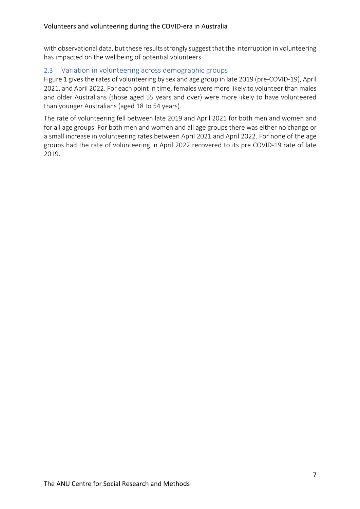with observational data, but these results strongly suggest that the interruption in volunteering has impacted on the wellbeing of potential volunteers.

#### 2.3 Variation in volunteering across demographic groups

Figure 1 gives the rates of volunteering by sex and age group in late 2019 (pre-COVID-19), April 2021, and April 2022. For each point in time, females were more likely to volunteer than males and older Australians (those aged 55 years and over) were more likely to have volunteered than younger Australians (aged 18 to 54 years).

The rate of volunteering fell between late 2019 and April 2021 for both men and women and for all age groups. For both men and women and all age groups there was either no change or a small increase in volunteering rates between April 2021 and April 2022. For none of the age groups had the rate of volunteering in April 2022 recovered to its pre COVID-19 rate of late 2019.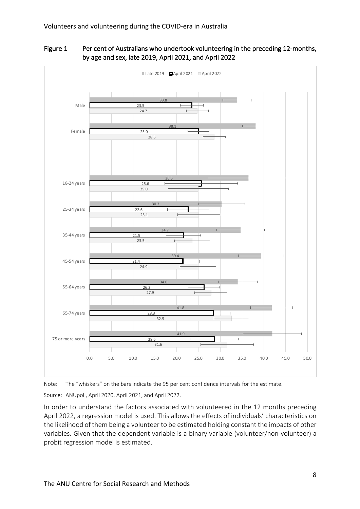

Figure 1 Per cent of Australians who undertook volunteering in the preceding 12-months, by age and sex, late 2019, April 2021, and April 2022

Note: The "whiskers" on the bars indicate the 95 per cent confidence intervals for the estimate.

Source: ANUpoll, April 2020, April 2021, and April 2022.

In order to understand the factors associated with volunteered in the 12 months preceding April 2022, a regression model is used. This allows the effects of individuals' characteristics on the likelihood of them being a volunteer to be estimated holding constant the impacts of other variables. Given that the dependent variable is a binary variable (volunteer/non-volunteer) a probit regression model is estimated.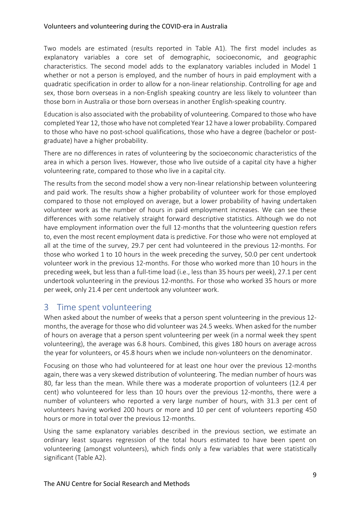#### Volunteers and volunteering during the COVID-era in Australia

Two models are estimated (results reported in Table A1). The first model includes as explanatory variables a core set of demographic, socioeconomic, and geographic characteristics. The second model adds to the explanatory variables included in Model 1 whether or not a person is employed, and the number of hours in paid employment with a quadratic specification in order to allow for a non-linear relationship. Controlling for age and sex, those born overseas in a non-English speaking country are less likely to volunteer than those born in Australia or those born overseas in another English-speaking country.

Education is also associated with the probability of volunteering. Compared to those who have completed Year 12, those who have not completed Year 12 have a lower probability. Compared to those who have no post-school qualifications, those who have a degree (bachelor or postgraduate) have a higher probability.

There are no differences in rates of volunteering by the socioeconomic characteristics of the area in which a person lives. However, those who live outside of a capital city have a higher volunteering rate, compared to those who live in a capital city.

The results from the second model show a very non-linear relationship between volunteering and paid work. The results show a higher probability of volunteer work for those employed compared to those not employed on average, but a lower probability of having undertaken volunteer work as the number of hours in paid employment increases. We can see these differences with some relatively straight forward descriptive statistics. Although we do not have employment information over the full 12-months that the volunteering question refers to, even the most recent employment data is predictive. For those who were not employed at all at the time of the survey, 29.7 per cent had volunteered in the previous 12-months. For those who worked 1 to 10 hours in the week preceding the survey, 50.0 per cent undertook volunteer work in the previous 12-months. For those who worked more than 10 hours in the preceding week, but less than a full-time load (i.e., less than 35 hours per week), 27.1 per cent undertook volunteering in the previous 12-months. For those who worked 35 hours or more per week, only 21.4 per cent undertook any volunteer work.

# 3 Time spent volunteering

When asked about the number of weeks that a person spent volunteering in the previous 12 months, the average for those who did volunteer was 24.5 weeks. When asked for the number of hours on average that a person spent volunteering per week (in a normal week they spent volunteering), the average was 6.8 hours. Combined, this gives 180 hours on average across the year for volunteers, or 45.8 hours when we include non-volunteers on the denominator.

Focusing on those who had volunteered for at least one hour over the previous 12-months again, there was a very skewed distribution of volunteering. The median number of hours was 80, far less than the mean. While there was a moderate proportion of volunteers (12.4 per cent) who volunteered for less than 10 hours over the previous 12-months, there were a number of volunteers who reported a very large number of hours, with 31.3 per cent of volunteers having worked 200 hours or more and 10 per cent of volunteers reporting 450 hours or more in total over the previous 12-months.

Using the same explanatory variables described in the previous section, we estimate an ordinary least squares regression of the total hours estimated to have been spent on volunteering (amongst volunteers), which finds only a few variables that were statistically significant (Table A2).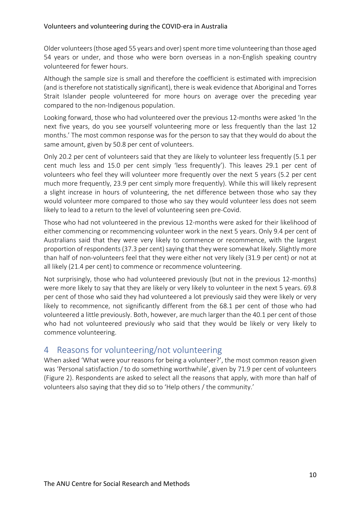Older volunteers (those aged 55 years and over) spent more time volunteering than those aged 54 years or under, and those who were born overseas in a non-English speaking country volunteered for fewer hours.

Although the sample size is small and therefore the coefficient is estimated with imprecision (and is therefore not statistically significant), there is weak evidence that Aboriginal and Torres Strait Islander people volunteered for more hours on average over the preceding year compared to the non-Indigenous population.

Looking forward, those who had volunteered over the previous 12-months were asked 'In the next five years, do you see yourself volunteering more or less frequently than the last 12 months.' The most common response was for the person to say that they would do about the same amount, given by 50.8 per cent of volunteers.

Only 20.2 per cent of volunteers said that they are likely to volunteer less frequently (5.1 per cent much less and 15.0 per cent simply 'less frequently'). This leaves 29.1 per cent of volunteers who feel they will volunteer more frequently over the next 5 years (5.2 per cent much more frequently, 23.9 per cent simply more frequently). While this will likely represent a slight increase in hours of volunteering, the net difference between those who say they would volunteer more compared to those who say they would volunteer less does not seem likely to lead to a return to the level of volunteering seen pre-Covid.

Those who had not volunteered in the previous 12-months were asked for their likelihood of either commencing or recommencing volunteer work in the next 5 years. Only 9.4 per cent of Australians said that they were very likely to commence or recommence, with the largest proportion of respondents (37.3 per cent) saying that they were somewhat likely. Slightly more than half of non-volunteers feel that they were either not very likely (31.9 per cent) or not at all likely (21.4 per cent) to commence or recommence volunteering.

Not surprisingly, those who had volunteered previously (but not in the previous 12-months) were more likely to say that they are likely or very likely to volunteer in the next 5 years. 69.8 per cent of those who said they had volunteered a lot previously said they were likely or very likely to recommence, not significantly different from the 68.1 per cent of those who had volunteered a little previously. Both, however, are much larger than the 40.1 per cent of those who had not volunteered previously who said that they would be likely or very likely to commence volunteering.

# 4 Reasons for volunteering/not volunteering

When asked 'What were your reasons for being a volunteer?', the most common reason given was 'Personal satisfaction / to do something worthwhile', given by 71.9 per cent of volunteers (Figure 2). Respondents are asked to select all the reasons that apply, with more than half of volunteers also saying that they did so to 'Help others / the community.'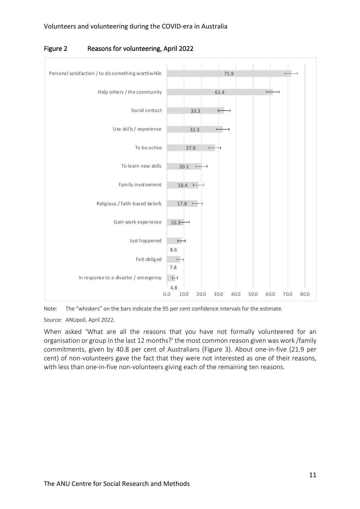

Figure 2 Reasons for volunteering, April 2022

Note: The "whiskers" on the bars indicate the 95 per cent confidence intervals for the estimate.

Source: ANUpoll, April 2022.

When asked 'What are all the reasons that you have not formally volunteered for an organisation or group in the last 12 months?' the most common reason given was work /family commitments, given by 40.8 per cent of Australians (Figure 3). About one-in-five (21.9 per cent) of non-volunteers gave the fact that they were not interested as one of their reasons, with less than one-in-five non-volunteers giving each of the remaining ten reasons.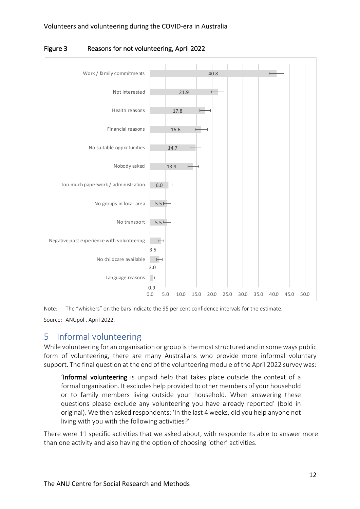

Figure 3 Reasons for not volunteering, April 2022

Note: The "whiskers" on the bars indicate the 95 per cent confidence intervals for the estimate. Source: ANUpoll, April 2022.

# 5 Informal volunteering

While volunteering for an organisation or group is the most structured and in some ways public form of volunteering, there are many Australians who provide more informal voluntary support. The final question at the end of the volunteering module of the April 2022 survey was:

'Informal volunteering is unpaid help that takes place outside the context of a formal organisation. It excludes help provided to other members of your household or to family members living outside your household. When answering these questions please exclude any volunteering you have already reported' (bold in original). We then asked respondents: 'In the last 4 weeks, did you help anyone not living with you with the following activities?'

There were 11 specific activities that we asked about, with respondents able to answer more than one activity and also having the option of choosing 'other' activities.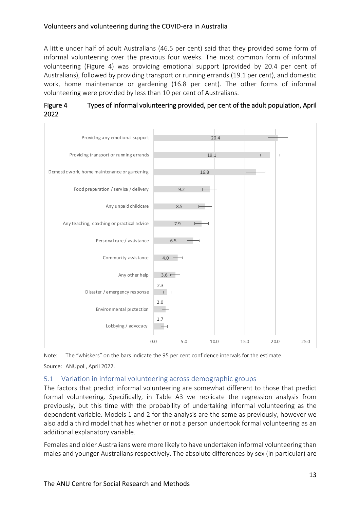#### Volunteers and volunteering during the COVID-era in Australia

A little under half of adult Australians (46.5 per cent) said that they provided some form of informal volunteering over the previous four weeks. The most common form of informal volunteering (Figure 4) was providing emotional support (provided by 20.4 per cent of Australians), followed by providing transport or running errands (19.1 per cent), and domestic work, home maintenance or gardening (16.8 per cent). The other forms of informal volunteering were provided by less than 10 per cent of Australians.

#### Figure 4 Types of informal volunteering provided, per cent of the adult population, April 2022



Note: The "whiskers" on the bars indicate the 95 per cent confidence intervals for the estimate. Source: ANUpoll, April 2022.

#### 5.1 Variation in informal volunteering across demographic groups

The factors that predict informal volunteering are somewhat different to those that predict formal volunteering. Specifically, in Table A3 we replicate the regression analysis from previously, but this time with the probability of undertaking informal volunteering as the dependent variable. Models 1 and 2 for the analysis are the same as previously, however we also add a third model that has whether or not a person undertook formal volunteering as an additional explanatory variable.

Females and older Australians were more likely to have undertaken informal volunteering than males and younger Australians respectively. The absolute differences by sex (in particular) are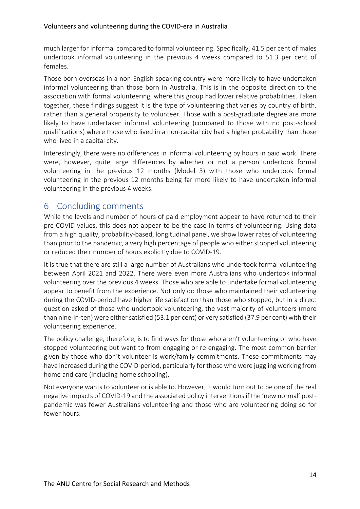much larger for informal compared to formal volunteering. Specifically, 41.5 per cent of males undertook informal volunteering in the previous 4 weeks compared to 51.3 per cent of females.

Those born overseas in a non-English speaking country were more likely to have undertaken informal volunteering than those born in Australia. This is in the opposite direction to the association with formal volunteering, where this group had lower relative probabilities. Taken together, these findings suggest it is the type of volunteering that varies by country of birth, rather than a general propensity to volunteer. Those with a post-graduate degree are more likely to have undertaken informal volunteering (compared to those with no post-school qualifications) where those who lived in a non-capital city had a higher probability than those who lived in a capital city.

Interestingly, there were no differences in informal volunteering by hours in paid work. There were, however, quite large differences by whether or not a person undertook formal volunteering in the previous 12 months (Model 3) with those who undertook formal volunteering in the previous 12 months being far more likely to have undertaken informal volunteering in the previous 4 weeks.

# 6 Concluding comments

While the levels and number of hours of paid employment appear to have returned to their pre-COVID values, this does not appear to be the case in terms of volunteering. Using data from a high quality, probability-based, longitudinal panel, we show lower rates of volunteering than prior to the pandemic, a very high percentage of people who either stopped volunteering or reduced their number of hours explicitly due to COVID-19.

It is true that there are still a large number of Australians who undertook formal volunteering between April 2021 and 2022. There were even more Australians who undertook informal volunteering over the previous 4 weeks. Those who are able to undertake formal volunteering appear to benefit from the experience. Not only do those who maintained their volunteering during the COVID-period have higher life satisfaction than those who stopped, but in a direct question asked of those who undertook volunteering, the vast majority of volunteers (more than nine-in-ten) were either satisfied (53.1 per cent) or very satisfied (37.9 per cent) with their volunteering experience.

The policy challenge, therefore, is to find ways for those who aren't volunteering or who have stopped volunteering but want to from engaging or re-engaging. The most common barrier given by those who don't volunteer is work/family commitments. These commitments may have increased during the COVID-period, particularly for those who were juggling working from home and care (including home schooling).

Not everyone wants to volunteer or is able to. However, it would turn out to be one of the real negative impacts of COVID-19 and the associated policy interventions if the 'new normal' postpandemic was fewer Australians volunteering and those who are volunteering doing so for fewer hours.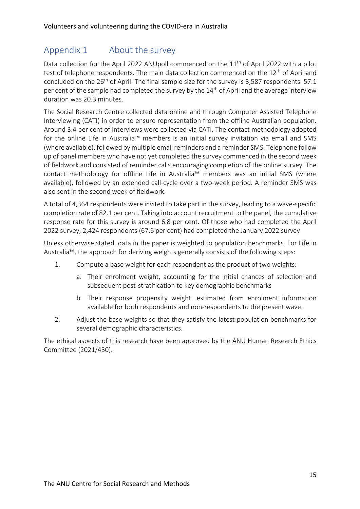# Appendix 1 About the survey

Data collection for the April 2022 ANUpoll commenced on the 11<sup>th</sup> of April 2022 with a pilot test of telephone respondents. The main data collection commenced on the  $12<sup>th</sup>$  of April and concluded on the  $26<sup>th</sup>$  of April. The final sample size for the survey is 3,587 respondents. 57.1 per cent of the sample had completed the survey by the 14<sup>th</sup> of April and the average interview duration was 20.3 minutes.

The Social Research Centre collected data online and through Computer Assisted Telephone Interviewing (CATI) in order to ensure representation from the offline Australian population. Around 3.4 per cent of interviews were collected via CATI. The contact methodology adopted for the online Life in Australia™ members is an initial survey invitation via email and SMS (where available), followed by multiple email reminders and a reminder SMS. Telephone follow up of panel members who have not yet completed the survey commenced in the second week of fieldwork and consisted of reminder calls encouraging completion of the online survey. The contact methodology for offline Life in Australia™ members was an initial SMS (where available), followed by an extended call-cycle over a two-week period. A reminder SMS was also sent in the second week of fieldwork.

A total of 4,364 respondents were invited to take part in the survey, leading to a wave-specific completion rate of 82.1 per cent. Taking into account recruitment to the panel, the cumulative response rate for this survey is around 6.8 per cent. Of those who had completed the April 2022 survey, 2,424 respondents (67.6 per cent) had completed the January 2022 survey

Unless otherwise stated, data in the paper is weighted to population benchmarks. For Life in Australia™, the approach for deriving weights generally consists of the following steps:

- 1. Compute a base weight for each respondent as the product of two weights:
	- a. Their enrolment weight, accounting for the initial chances of selection and subsequent post-stratification to key demographic benchmarks
	- b. Their response propensity weight, estimated from enrolment information available for both respondents and non-respondents to the present wave.
- 2. Adjust the base weights so that they satisfy the latest population benchmarks for several demographic characteristics.

The ethical aspects of this research have been approved by the ANU Human Research Ethics Committee (2021/430).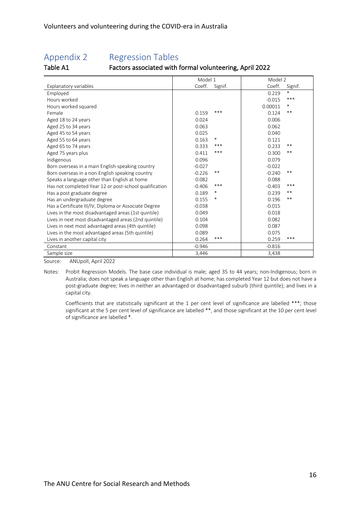# Appendix 2 Regression Tables

### Table A1 Factors associated with formal volunteering, April 2022

|                                                        | Model 1  |         | Model 2  |         |
|--------------------------------------------------------|----------|---------|----------|---------|
| Explanatory variables                                  | Coeff.   | Signif. | Coeff.   | Signif. |
| Employed                                               |          |         | 0.219    | $\ast$  |
| Hours worked                                           |          |         | $-0.015$ | ***     |
| Hours worked squared                                   |          |         | 0.00011  | $\ast$  |
| Female                                                 | 0.159    | ***     | 0.124    | **      |
| Aged 18 to 24 years                                    | 0.024    |         | 0.006    |         |
| Aged 25 to 34 years                                    | 0.063    |         | 0.062    |         |
| Aged 45 to 54 years                                    | 0.025    |         | 0.040    |         |
| Aged 55 to 64 years                                    | 0.163    | $\ast$  | 0.121    |         |
| Aged 65 to 74 years                                    | 0.333    | ***     | 0.233    | **      |
| Aged 75 years plus                                     | 0.411    | ***     | 0.300    | **      |
| Indigenous                                             | 0.096    |         | 0.079    |         |
| Born overseas in a main English-speaking country       | $-0.027$ |         | $-0.022$ |         |
| Born overseas in a non-English speaking country        | $-0.226$ | $***$   | $-0.240$ | $***$   |
| Speaks a language other than English at home           | 0.082    |         | 0.088    |         |
| Has not completed Year 12 or post-school qualification | $-0.406$ | ***     | $-0.403$ | ***     |
| Has a post graduate degree                             | 0.189    | *       | 0.239    | $***$   |
| Has an undergraduate degree                            | 0.155    | $\ast$  | 0.196    | **      |
| Has a Certificate III/IV, Diploma or Associate Degree  | $-0.038$ |         | $-0.015$ |         |
| Lives in the most disadvantaged areas (1st quintile)   | 0.049    |         | 0.018    |         |
| Lives in next most disadvantaged areas (2nd quintile)  | 0.104    |         | 0.082    |         |
| Lives in next most advantaged areas (4th quintile)     | 0.098    |         | 0.087    |         |
| Lives in the most advantaged areas (5th quintile)      | 0.089    |         | 0.075    |         |
| Lives in another capital city                          | 0.264    | ***     | 0.259    | ***     |
| Constant                                               | $-0.946$ |         | $-0.816$ |         |
| Sample size                                            | 3,446    |         | 3,438    |         |

Source: ANUpoll, April 2022

Coefficients that are statistically significant at the 1 per cent level of significance are labelled \*\*\*; those significant at the 5 per cent level of significance are labelled \*\*, and those significant at the 10 per cent level of significance are labelled \*.

Notes: Probit Regression Models. The base case individual is male; aged 35 to 44 years; non-Indigenous; born in Australia; does not speak a language other than English at home; has completed Year 12 but does not have a post-graduate degree; lives in neither an advantaged or disadvantaged suburb (third quintile); and lives in a capital city.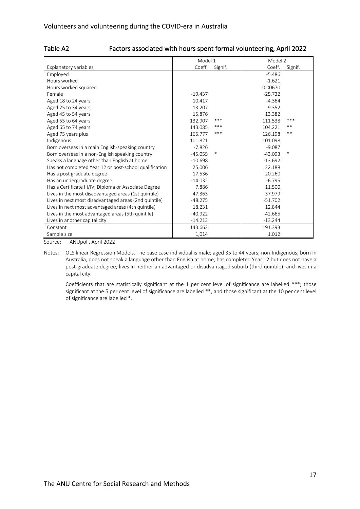|  |  | Table A2 |
|--|--|----------|
|--|--|----------|

#### Factors associated with hours spent formal volunteering, April 2022

|                                                        | Model 1   |         | Model 2   |         |  |
|--------------------------------------------------------|-----------|---------|-----------|---------|--|
| Explanatory variables                                  | Coeff.    | Signif. | Coeff.    | Signif. |  |
| Employed                                               |           |         | $-5.486$  |         |  |
| Hours worked                                           |           |         | $-1.621$  |         |  |
| Hours worked squared                                   |           |         | 0.00670   |         |  |
| Female                                                 | $-19.437$ |         | $-25.732$ |         |  |
| Aged 18 to 24 years                                    | 10.417    |         | $-4.364$  |         |  |
| Aged 25 to 34 years                                    | 13.207    |         | 9.352     |         |  |
| Aged 45 to 54 years                                    | 15.876    |         | 13.382    |         |  |
| Aged 55 to 64 years                                    | 132.907   | $***$   | 111.538   | ***     |  |
| Aged 65 to 74 years                                    | 143.085   | ***     | 104.221   | **      |  |
| Aged 75 years plus                                     | 165.777   | ***     | 126.198   | $***$   |  |
| Indigenous                                             | 101.821   |         | 101.098   |         |  |
| Born overseas in a main English-speaking country       | $-7.826$  |         | $-9.087$  |         |  |
| Born overseas in a non-English speaking country        | $-45.055$ | *       | $-43.093$ | *       |  |
| Speaks a language other than English at home           | $-10.698$ |         | $-13.692$ |         |  |
| Has not completed Year 12 or post-school qualification | 25.006    |         | 22.188    |         |  |
| Has a post graduate degree                             | 17.536    |         | 20.260    |         |  |
| Has an undergraduate degree                            | $-14.032$ |         | $-6.795$  |         |  |
| Has a Certificate III/IV, Diploma or Associate Degree  | 7.886     |         | 11.500    |         |  |
| Lives in the most disadvantaged areas (1st quintile)   | 47.363    |         | 37.979    |         |  |
| Lives in next most disadvantaged areas (2nd quintile)  | $-48.275$ |         | $-51.702$ |         |  |
| Lives in next most advantaged areas (4th quintile)     | 18.231    |         | 12.844    |         |  |
| Lives in the most advantaged areas (5th quintile)      | $-40.922$ |         | $-42.665$ |         |  |
| Lives in another capital city                          | $-14.213$ |         | $-13.244$ |         |  |
| Constant                                               | 143.663   |         | 191.393   |         |  |
| Sample size                                            | 1,014     |         | 1,012     |         |  |

Source: ANUpoll, April 2022

Notes: OLS linear Regression Models. The base case individual is male; aged 35 to 44 years; non-Indigenous; born in Australia; does not speak a language other than English at home; has completed Year 12 but does not have a post-graduate degree; lives in neither an advantaged or disadvantaged suburb (third quintile); and lives in a capital city.

Coefficients that are statistically significant at the 1 per cent level of significance are labelled \*\*\*; those significant at the 5 per cent level of significance are labelled \*\*, and those significant at the 10 per cent level of significance are labelled \*.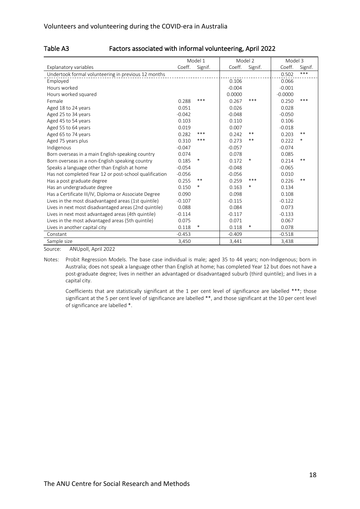| Table A3 |  |  |
|----------|--|--|
|----------|--|--|

#### Factors associated with informal volunteering, April 2022

|                                                        | Model 1  |         | Model 2  |         | Model 3   |         |
|--------------------------------------------------------|----------|---------|----------|---------|-----------|---------|
| Explanatory variables                                  | Coeff.   | Signif. | Coeff.   | Signif. | Coeff.    | Signif. |
| Undertook formal volunteering in previous 12 months    |          |         |          |         | 0.502     | ***     |
| Employed                                               |          |         | 0.106    |         | 0.066     |         |
| Hours worked                                           |          |         | $-0.004$ |         | $-0.001$  |         |
| Hours worked squared                                   |          |         | 0.0000   |         | $-0.0000$ |         |
| Female                                                 | 0.288    | ***     | 0.267    | ***     | 0.250     | ***     |
| Aged 18 to 24 years                                    | 0.051    |         | 0.026    |         | 0.028     |         |
| Aged 25 to 34 years                                    | $-0.042$ |         | $-0.048$ |         | $-0.050$  |         |
| Aged 45 to 54 years                                    | 0.103    |         | 0.110    |         | 0.106     |         |
| Aged 55 to 64 years                                    | 0.019    |         | 0.007    |         | $-0.018$  |         |
| Aged 65 to 74 years                                    | 0.282    | ***     | 0.242    | $***$   | 0.203     | $***$   |
| Aged 75 years plus                                     | 0.310    | ***     | 0.273    | $***$   | 0.222     | $\ast$  |
| Indigenous                                             | $-0.047$ |         | $-0.057$ |         | $-0.074$  |         |
| Born overseas in a main English-speaking country       | 0.074    |         | 0.078    |         | 0.085     |         |
| Born overseas in a non-English speaking country        | 0.185    | $\ast$  | 0.172    | $\ast$  | 0.214     | $***$   |
| Speaks a language other than English at home           | $-0.054$ |         | $-0.048$ |         | $-0.065$  |         |
| Has not completed Year 12 or post-school qualification | $-0.056$ |         | $-0.056$ |         | 0.010     |         |
| Has a post graduate degree                             | 0.255    | $***$   | 0.259    | ***     | 0.226     | $***$   |
| Has an undergraduate degree                            | 0.150    | $\ast$  | 0.163    | *       | 0.134     |         |
| Has a Certificate III/IV, Diploma or Associate Degree  | 0.090    |         | 0.098    |         | 0.108     |         |
| Lives in the most disadvantaged areas (1st quintile)   | $-0.107$ |         | $-0.115$ |         | $-0.122$  |         |
| Lives in next most disadvantaged areas (2nd quintile)  | 0.088    |         | 0.084    |         | 0.073     |         |
| Lives in next most advantaged areas (4th quintile)     | $-0.114$ |         | $-0.117$ |         | $-0.133$  |         |
| Lives in the most advantaged areas (5th quintile)      | 0.075    |         | 0.071    |         | 0.067     |         |
| Lives in another capital city                          | 0.118    | $\ast$  | 0.118    | $\ast$  | 0.078     |         |
| Constant                                               | $-0.453$ |         | $-0.409$ |         | $-0.518$  |         |
| Sample size                                            | 3,450    |         | 3,441    |         | 3,438     |         |

Source: ANUpoll, April 2022

Notes: Probit Regression Models. The base case individual is male; aged 35 to 44 years; non-Indigenous; born in Australia; does not speak a language other than English at home; has completed Year 12 but does not have a post-graduate degree; lives in neither an advantaged or disadvantaged suburb (third quintile); and lives in a capital city.

Coefficients that are statistically significant at the 1 per cent level of significance are labelled \*\*\*; those significant at the 5 per cent level of significance are labelled \*\*, and those significant at the 10 per cent level of significance are labelled \*.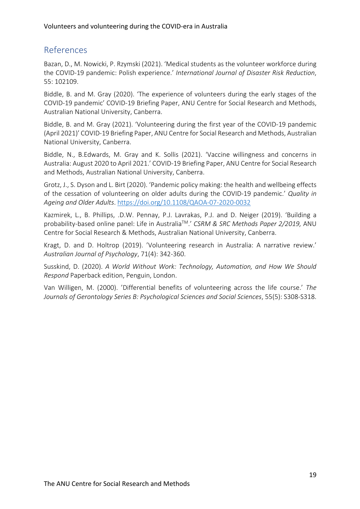# References

Bazan, D., M. Nowicki, P. Rzymski (2021). 'Medical students as the volunteer workforce during the COVID-19 pandemic: Polish experience.' *International Journal of Disaster Risk Reduction*, 55: 102109.

Biddle, B. and M. Gray (2020). 'The experience of volunteers during the early stages of the COVID-19 pandemic' COVID-19 Briefing Paper, ANU Centre for Social Research and Methods, Australian National University, Canberra.

Biddle, B. and M. Gray (2021). 'Volunteering during the first year of the COVID-19 pandemic (April 2021)' COVID-19 Briefing Paper, ANU Centre for Social Research and Methods, Australian National University, Canberra.

Biddle, N., B.Edwards, M. Gray and K. Sollis (2021). 'Vaccine willingness and concerns in Australia: August 2020 to April 2021.' COVID-19 Briefing Paper, ANU Centre for Social Research and Methods, Australian National University, Canberra.

Grotz, J., S. Dyson and L. Birt (2020). 'Pandemic policy making: the health and wellbeing effects of the cessation of volunteering on older adults during the COVID-19 pandemic.' *Quality in Ageing and Older Adults*. https://doi.org/10.1108/QAOA-07-2020-0032

Kazmirek, L., B. Phillips, .D.W. Pennay, P.J. Lavrakas, P.J. and D. Neiger (2019). 'Building a probability-based online panel: Life in AustraliaTM.' *CSRM & SRC Methods Paper 2/2019,* ANU Centre for Social Research & Methods, Australian National University, Canberra.

Kragt, D. and D. Holtrop (2019). 'Volunteering research in Australia: A narrative review.' *Australian Journal of Psychology*, 71(4): 342-360.

Susskind, D. (2020). *A World Without Work: Technology, Automation, and How We Should Respond* Paperback edition, Penguin, London.

Van Willigen, M. (2000). 'Differential benefits of volunteering across the life course.' *The Journals of Gerontology Series B: Psychological Sciences and Social Sciences*, 55(5): S308-S318.